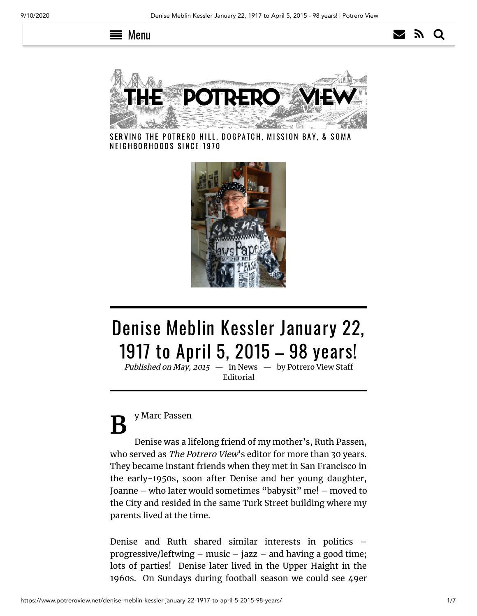





SERVING THE POTRERO HILL, DOGPATCH, MISSION BAY, & SOMA NEIGHBORHOODS SINCE 1970



# Denise Meblin Kessler January 22, 1917 to April 5, 2015 – 98 years!

Published on May, 2015  $-$  in [News](https://www.potreroview.net/category/sections/news/)  $-$  by Potrero View Staff [Editorial](https://www.potreroview.net/author/potreroview/)

**B** y Marc Passen

Denise was a lifelong friend of my mother's, Ruth Passen, who served as The Potrero View's editor for more than 30 years. They became instant friends when they met in San Francisco in the early-1950s, soon after Denise and her young daughter, Joanne – who later would sometimes "babysit" me! – moved to the City and resided in the same Turk Street building where my parents lived at the time.

Denise and Ruth shared similar interests in politics – progressive/leftwing – music – jazz – and having a good time; lots of parties! Denise later lived in the Upper Haight in the 1960s. On Sundays during football season we could see 49er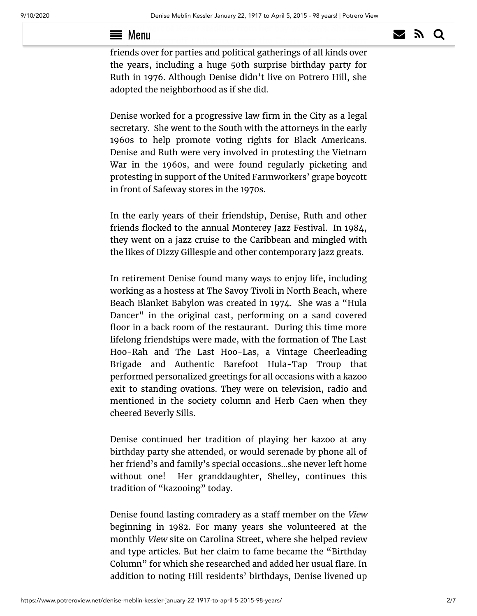#### $\blacktriangleright$   $\blacksquare$  and part of Kezar stadium from her bay windows. She then **bought a monumerate** all 17th street near the Castro, and had many  $\equiv$  Menu  $\geq$   $\geq$   $\geq$   $\geq$   $\geq$   $\geq$

friends over for parties and political gatherings of all kinds over the years, including a huge 50th surprise birthday party for Ruth in 1976. Although Denise didn't live on Potrero Hill, she adopted the neighborhood as if she did.

Denise worked for a progressive law firm in the City as a legal secretary. She went to the South with the attorneys in the early 1960s to help promote voting rights for Black Americans. Denise and Ruth were very involved in protesting the Vietnam War in the 1960s, and were found regularly picketing and protesting in support of the United Farmworkers' grape boycott in front of Safeway stores in the 1970s.

In the early years of their friendship, Denise, Ruth and other friends flocked to the annual Monterey Jazz Festival. In 1984, they went on a jazz cruise to the Caribbean and mingled with the likes of Dizzy Gillespie and other contemporary jazz greats.

In retirement Denise found many ways to enjoy life, including working as a hostess at The Savoy Tivoli in North Beach, where Beach Blanket Babylon was created in 1974. She was a "Hula Dancer" in the original cast, performing on a sand covered floor in a back room of the restaurant. During this time more lifelong friendships were made, with the formation of The Last Hoo-Rah and The Last Hoo-Las, a Vintage Cheerleading Brigade and Authentic Barefoot Hula-Tap Troup that performed personalized greetings for all occasions with a kazoo exit to standing ovations. They were on television, radio and mentioned in the society column and Herb Caen when they cheered Beverly Sills.

Denise continued her tradition of playing her kazoo at any birthday party she attended, or would serenade by phone all of her friend's and family's special occasions…she never left home without one! Her granddaughter, Shelley, continues this tradition of "kazooing" today.

Denise found lasting comradery as a staff member on the View beginning in 1982. For many years she volunteered at the monthly View site on Carolina Street, where she helped review and type articles. But her claim to fame became the "Birthday Column" for which she researched and added her usual flare. In addition to noting Hill residents' birthdays, Denise livened up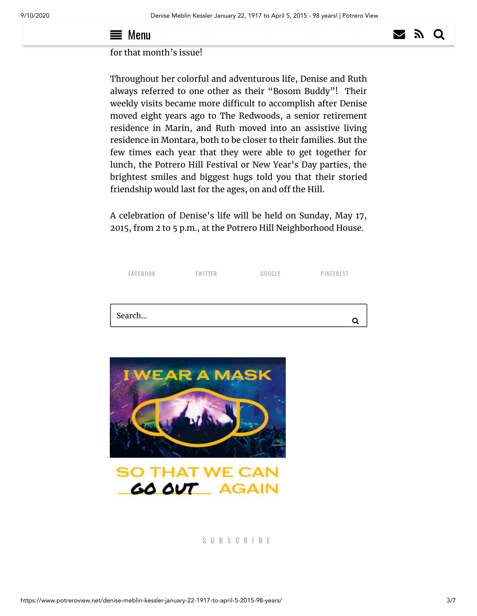#### $\longrightarrow$   $\alpha$  column by including historical and cultural figures. It was a **Thumu** keepsake for everyone who "made it" into print  $\equiv$  Menu  $\geq$   $\geq$   $\geq$   $\geq$   $\geq$   $\geq$

## for that month's issue!

Throughout her colorful and adventurous life, Denise and Ruth always referred to one other as their "Bosom Buddy"! Their weekly visits became more difficult to accomplish after Denise moved eight years ago to The Redwoods, a senior retirement residence in Marin, and Ruth moved into an assistive living residence in Montara, both to be closer to their families. But the few times each year that they were able to get together for lunch, the Potrero Hill Festival or New Year's Day parties, the brightest smiles and biggest hugs told you that their storied friendship would last for the ages, on and off the Hill.

A celebration of Denise's life will be held on Sunday, May 17, 2015, from 2 to 5 p.m., at the Potrero Hill Neighborhood House.

| FACEBOOK | <b>TWITTER</b>                               | GOOGLE | PINTEREST |
|----------|----------------------------------------------|--------|-----------|
| Search   |                                              |        |           |
|          |                                              |        | Q         |
|          | <b>IWEAR A MASK</b>                          |        |           |
|          |                                              |        |           |
|          |                                              |        |           |
|          |                                              |        |           |
|          | <b>SO THAT WE CAN</b><br><b>GO OUT AGAIN</b> |        |           |
|          |                                              |        |           |

#### S U B S C R I B E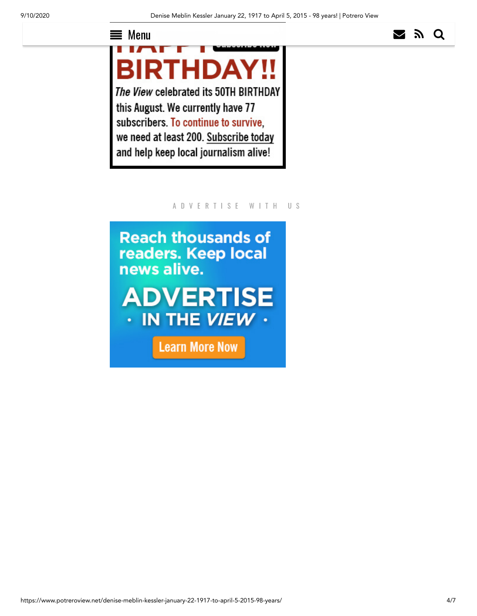# $\equiv$  [Menu](https://www.potreroview.net/subscribe/)  $\geq$   $\geq$   $\geq$   $\geq$

**BIRTHDAY!** The View celebrated its 50TH BIRTHDAY this August. We currently have 77 subscribers. To continue to survive, we need at least 200. Subscribe today and help keep local journalism alive!

### A D V E R T I S E W I T H U S

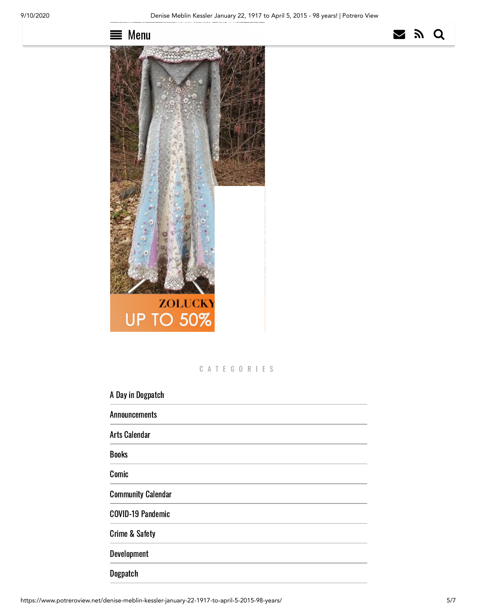



C A T E G O R I E S

A Day in [Dogpatch](https://www.potreroview.net/category/sections/a-day-in-dogpatch/)

[Announcements](https://www.potreroview.net/category/sections/announcements/)

Arts [Calendar](https://www.potreroview.net/category/ongoing-features/arts-calendar/)

[Books](https://www.potreroview.net/category/sections/books/)

[Comic](https://www.potreroview.net/category/sections/comic/)

[Community](https://www.potreroview.net/category/ongoing-features/community-calendar/) Calendar

[COVID-19](https://www.potreroview.net/category/covid-19-pandemic/) Pandemic

Crime & [Safety](https://www.potreroview.net/category/ongoing-features/crime-safety/)

[Development](https://www.potreroview.net/category/sections/development/)

[Dogpatch](https://www.potreroview.net/category/sections/dogpatch/)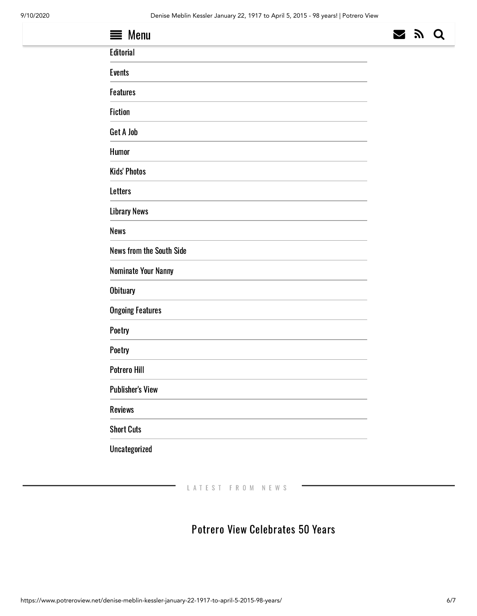| $\equiv$ Menu            | $\blacktriangleright$ | 7 | O |
|--------------------------|-----------------------|---|---|
| Editorial                |                       |   |   |
| <b>Events</b>            |                       |   |   |
| <b>Features</b>          |                       |   |   |
| <b>Fiction</b>           |                       |   |   |
| Get A Job                |                       |   |   |
| Humor                    |                       |   |   |
| <b>Kids' Photos</b>      |                       |   |   |
| <b>Letters</b>           |                       |   |   |
| <b>Library News</b>      |                       |   |   |
| News                     |                       |   |   |
| News from the South Side |                       |   |   |
| Nominate Your Nanny      |                       |   |   |
| <b>Obituary</b>          |                       |   |   |
| <b>Ongoing Features</b>  |                       |   |   |
| Poetry                   |                       |   |   |
| Poetry                   |                       |   |   |
| Potrero Hill             |                       |   |   |
| <b>Publisher's View</b>  |                       |   |   |
| Reviews                  |                       |   |   |
| <b>Short Cuts</b>        |                       |   |   |

L A T E S T F R O M N E W S

## Potrero View [Celebrates](https://www.potreroview.net/potrero-view-celebrates-50-years/) 50 Years